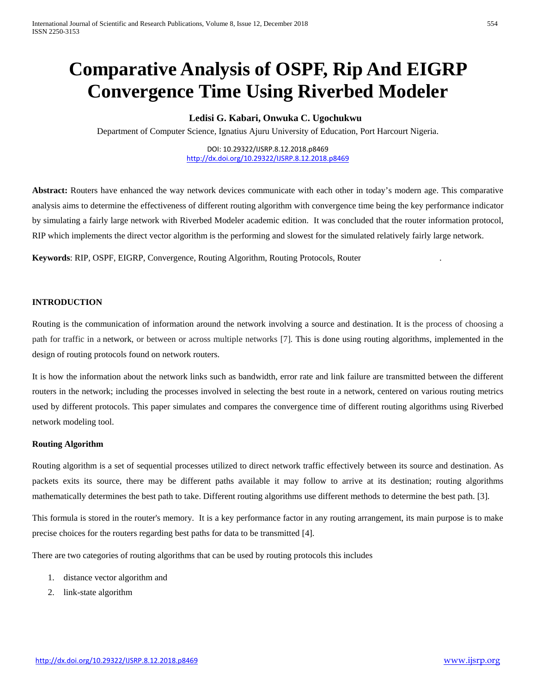# **Comparative Analysis of OSPF, Rip And EIGRP Convergence Time Using Riverbed Modeler**

# **Ledisi G. Kabari, Onwuka C. Ugochukwu**

Department of Computer Science, Ignatius Ajuru University of Education, Port Harcourt Nigeria.

DOI: 10.29322/IJSRP.8.12.2018.p8469 <http://dx.doi.org/10.29322/IJSRP.8.12.2018.p8469>

**Abstract:** Routers have enhanced the way network devices communicate with each other in today's modern age. This comparative analysis aims to determine the effectiveness of different routing algorithm with convergence time being the key performance indicator by simulating a fairly large network with Riverbed Modeler academic edition. It was concluded that the router information protocol, RIP which implements the direct vector algorithm is the performing and slowest for the simulated relatively fairly large network.

**Keywords**: RIP, OSPF, EIGRP, Convergence, Routing Algorithm, Routing Protocols, Router .

#### **INTRODUCTION**

Routing is the communication of information around the network involving a source and destination. It is the process of choosing a path for traffic in a network, or between or across multiple networks [7]. This is done using routing algorithms, implemented in the design of routing protocols found on network routers.

It is how the information about the network links such as bandwidth, error rate and link failure are transmitted between the different routers in the network; including the processes involved in selecting the best route in a network, centered on various routing metrics used by different protocols. This paper simulates and compares the convergence time of different routing algorithms using Riverbed network modeling tool.

## **Routing Algorithm**

Routing algorithm is a set of sequential processes utilized to direct network traffic effectively between its source and destination. As packets exits its source, there may be different paths available it may follow to arrive at its destination; routing algorithms mathematically determines the best path to take. Different routing algorithms use different methods to determine the best path. [3].

This formula is stored in the router's memory. It is a key performance factor in any routing arrangement, its main purpose is to make precise choices for the routers regarding best paths for data to be transmitted [4].

There are two categories of routing algorithms that can be used by routing protocols this includes

- 1. distance vector algorithm and
- 2. link-state algorithm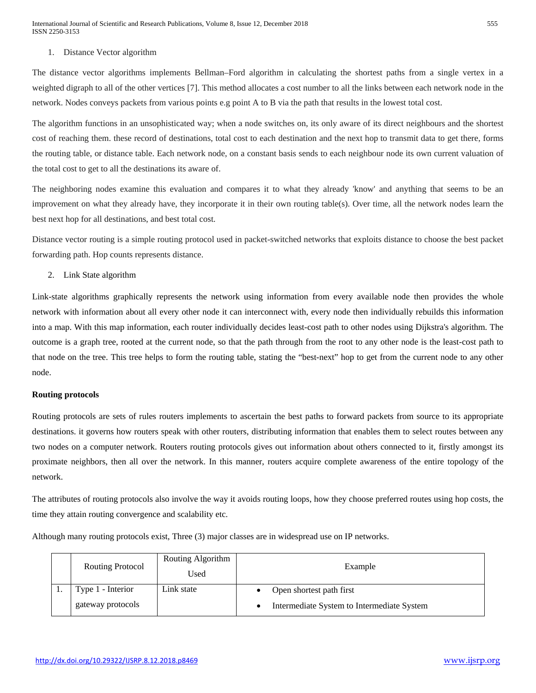#### 1. Distance Vector algorithm

The distance vector algorithms implements Bellman–Ford algorithm in calculating the shortest paths from a single vertex in a weighted digraph to all of the other vertices [7]. This method allocates a cost number to all the links between each network node in the network. Nodes conveys packets from various points e.g point A to B via the path that results in the lowest total cost.

The algorithm functions in an unsophisticated way; when a node switches on, its only aware of its direct neighbours and the shortest cost of reaching them. these record of destinations, total cost to each destination and the next hop to transmit data to get there, forms the routing table, or distance table. Each network node, on a constant basis sends to each neighbour node its own current valuation of the total cost to get to all the destinations its aware of.

The neighboring nodes examine this evaluation and compares it to what they already 'know' and anything that seems to be an improvement on what they already have, they incorporate it in their own routing table(s). Over time, all the network nodes learn the best next hop for all destinations, and best total cost.

Distance vector routing is a simple routing protocol used in packet-switched networks that exploits distance to choose the best packet forwarding path. Hop counts represents distance.

#### 2. Link State algorithm

Link-state algorithms graphically represents the network using information from every available node then provides the whole network with information about all every other node it can interconnect with, every node then individually rebuilds this information into a map. With this map information, each router individually decides least-cost path to other nodes using Dijkstra's algorithm. The outcome is a graph tree, rooted at the current node, so that the path through from the root to any other node is the least-cost path to that node on the tree. This tree helps to form the routing table, stating the "best-next" hop to get from the current node to any other node.

#### **Routing protocols**

Routing protocols are sets of rules routers implements to ascertain the best paths to forward packets from source to its appropriate destinations. it governs how routers speak with other routers, distributing information that enables them to select routes between any two nodes on a computer network. Routers routing protocols gives out information about others connected to it, firstly amongst its proximate neighbors, then all over the network. In this manner, routers acquire complete awareness of the entire topology of the network.

The attributes of routing protocols also involve the way it avoids routing loops, how they choose preferred routes using hop costs, the time they attain routing convergence and scalability etc.

Although many routing protocols exist, Three (3) major classes are in widespread use on IP networks.

| <b>Routing Protocol</b>                | Routing Algorithm<br>Used | Example                                                                |
|----------------------------------------|---------------------------|------------------------------------------------------------------------|
| Type 1 - Interior<br>gateway protocols | Link state                | Open shortest path first<br>Intermediate System to Intermediate System |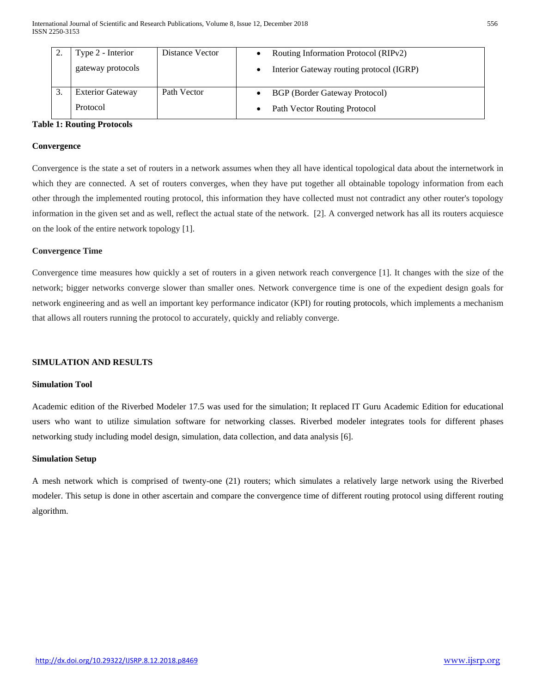| Type 2 - Interior       | Distance Vector | Routing Information Protocol (RIPv2)     |
|-------------------------|-----------------|------------------------------------------|
| gateway protocols       |                 | Interior Gateway routing protocol (IGRP) |
|                         |                 |                                          |
| <b>Exterior Gateway</b> | Path Vector     | <b>BGP</b> (Border Gateway Protocol)     |
| Protocol                |                 | Path Vector Routing Protocol             |

## **Table 1: Routing Protocols**

#### **Convergence**

Convergence is the state a set of routers in a network assumes when they all have identical topological data about the internetwork in which they are connected. A set of routers converges, when they have put together all obtainable topology information from each other through the implemented routing protocol, this information they have collected must not contradict any other router's topology information in the given set and as well, reflect the actual state of the network. [2]. A converged network has all its routers acquiesce on the look of the entire network topology [1].

#### **Convergence Time**

Convergence time measures how quickly a set of routers in a given network reach convergence [1]. It changes with the size of the network; bigger networks converge slower than smaller ones. Network convergence time is one of the expedient design goals for network engineering and as well an important key performance indicator (KPI) for routing protocols, which implements a mechanism that allows all routers running the protocol to accurately, quickly and reliably converge.

#### **SIMULATION AND RESULTS**

#### **Simulation Tool**

Academic edition of the Riverbed Modeler 17.5 was used for the simulation; It replaced IT Guru Academic Edition for educational users who want to utilize simulation software for networking classes. Riverbed modeler integrates tools for different phases networking study including model design, simulation, data collection, and data analysis [6].

#### **Simulation Setup**

A mesh network which is comprised of twenty-one (21) routers; which simulates a relatively large network using the Riverbed modeler. This setup is done in other ascertain and compare the convergence time of different routing protocol using different routing algorithm.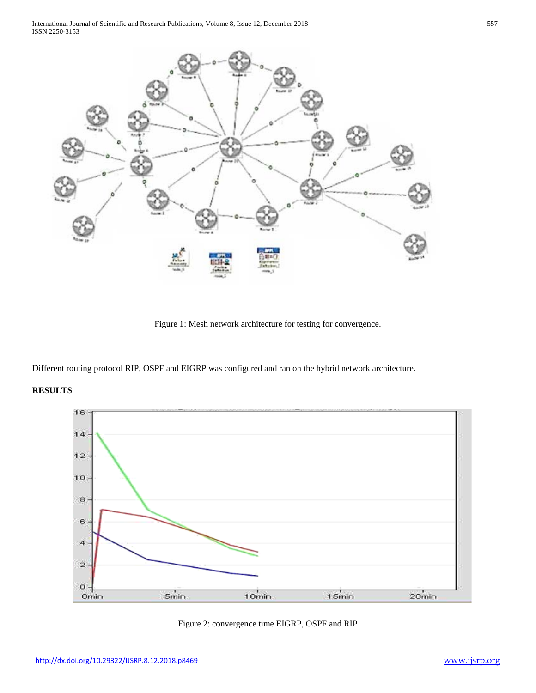

Figure 1: Mesh network architecture for testing for convergence.

Different routing protocol RIP, OSPF and EIGRP was configured and ran on the hybrid network architecture.

# **RESULTS**



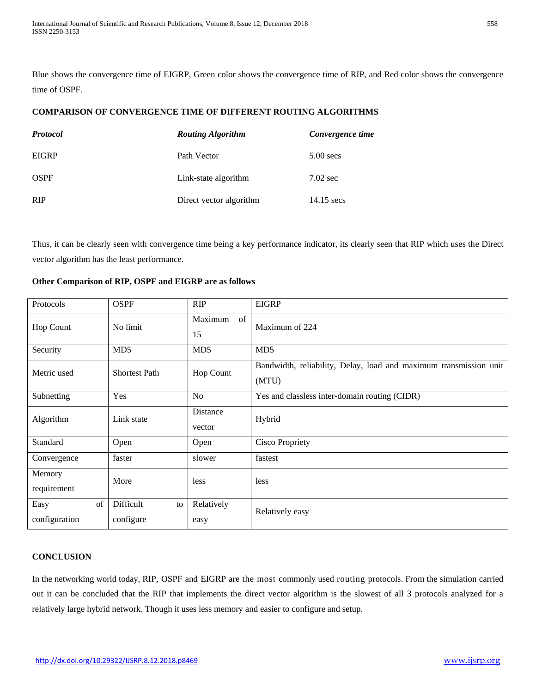Blue shows the convergence time of EIGRP, Green color shows the convergence time of RIP, and Red color shows the convergence time of OSPF.

# **COMPARISON OF CONVERGENCE TIME OF DIFFERENT ROUTING ALGORITHMS**

| <b>Protocol</b> | <b>Routing Algorithm</b> | Convergence time   |
|-----------------|--------------------------|--------------------|
| <b>EIGRP</b>    | Path Vector              | $5.00$ secs        |
| <b>OSPF</b>     | Link-state algorithm     | $7.02 \text{ sec}$ |
| <b>RIP</b>      | Direct vector algorithm  | $14.15$ secs       |

Thus, it can be clearly seen with convergence time being a key performance indicator, its clearly seen that RIP which uses the Direct vector algorithm has the least performance.

| Protocols                   | <b>OSPF</b>                  | <b>RIP</b>          | <b>EIGRP</b>                                                               |
|-----------------------------|------------------------------|---------------------|----------------------------------------------------------------------------|
| <b>Hop Count</b>            | No limit                     | Maximum<br>of<br>15 | Maximum of 224                                                             |
| Security                    | MD <sub>5</sub>              | MD <sub>5</sub>     | MD <sub>5</sub>                                                            |
| Metric used                 | <b>Shortest Path</b>         | <b>Hop Count</b>    | Bandwidth, reliability, Delay, load and maximum transmission unit<br>(MTU) |
| Subnetting                  | Yes                          | No                  | Yes and classless inter-domain routing (CIDR)                              |
| Algorithm                   | Link state                   | Distance<br>vector  | Hybrid                                                                     |
| Standard                    | Open                         | Open                | <b>Cisco Propriety</b>                                                     |
| Convergence                 | faster                       | slower              | fastest                                                                    |
| Memory<br>requirement       | More                         | less                | less                                                                       |
| Easy<br>of<br>configuration | Difficult<br>to<br>configure | Relatively<br>easy  | Relatively easy                                                            |

# **Other Comparison of RIP, OSPF and EIGRP are as follows**

# **CONCLUSION**

In the networking world today, RIP, OSPF and EIGRP are the most commonly used routing protocols. From the simulation carried out it can be concluded that the RIP that implements the direct vector algorithm is the slowest of all 3 protocols analyzed for a relatively large hybrid network. Though it uses less memory and easier to configure and setup.